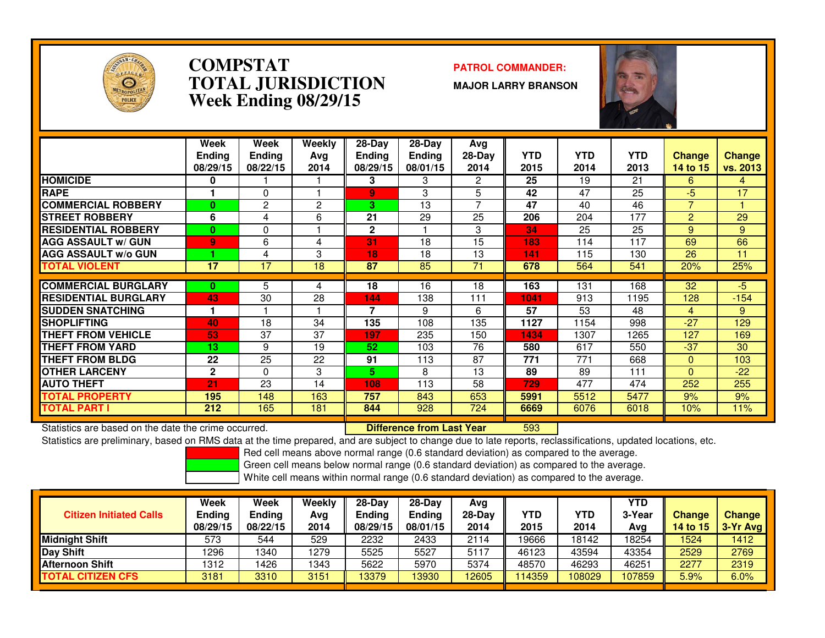

### **COMPSTAT PATROL COMMANDER: TOTAL JURISDICTIONWeek Ending 08/29/15**

**MAJOR LARRY BRANSON**



|                             | Week<br><b>Ending</b><br>08/29/15 | Week<br><b>Ending</b><br>08/22/15 | Weekly<br>Avg<br>2014 | $28-Day$<br><b>Ending</b><br>08/29/15 | $28$ -Day<br>Ending<br>08/01/15 | Avg<br>$28-Day$<br>2014 | <b>YTD</b><br>2015 | <b>YTD</b><br>2014 | <b>YTD</b><br>2013 | <b>Change</b><br>14 to 15 | <b>Change</b><br>vs. 2013 |
|-----------------------------|-----------------------------------|-----------------------------------|-----------------------|---------------------------------------|---------------------------------|-------------------------|--------------------|--------------------|--------------------|---------------------------|---------------------------|
| <b>HOMICIDE</b>             | 0                                 |                                   |                       | 3                                     | 3                               | 2                       | 25                 | 19                 | 21                 | 6                         | 4                         |
| <b>RAPE</b>                 |                                   | 0                                 |                       | $\overline{9}$                        | 3                               | 5                       | 42                 | 47                 | 25                 | $-5$                      | 17                        |
| <b>COMMERCIAL ROBBERY</b>   | 0                                 | 2                                 | 2                     | 3                                     | 13                              | 7                       | 47                 | 40                 | 46                 | ⇁                         |                           |
| <b>STREET ROBBERY</b>       | 6                                 | 4                                 | 6                     | 21                                    | 29                              | 25                      | 206                | 204                | 177                | $\overline{2}$            | 29                        |
| <b>RESIDENTIAL ROBBERY</b>  | $\bf{0}$                          | 0                                 |                       | $\mathbf{2}$                          |                                 | 3                       | 34                 | 25                 | 25                 | 9                         | 9                         |
| <b>AGG ASSAULT w/ GUN</b>   | $\overline{9}$                    | 6                                 | 4                     | 31                                    | 18                              | 15                      | 183                | 114                | 117                | 69                        | 66                        |
| <b>AGG ASSAULT w/o GUN</b>  |                                   | 4                                 | 3                     | 18                                    | 18                              | 13                      | 141                | 115                | 130                | 26                        | 11                        |
| <b>TOTAL VIOLENT</b>        | 17                                | 17                                | 18                    | 87                                    | 85                              | 71                      | 678                | 564                | 541                | 20%                       | 25%                       |
|                             |                                   |                                   |                       |                                       |                                 |                         |                    |                    |                    |                           |                           |
| <b>COMMERCIAL BURGLARY</b>  | 0                                 | 5                                 | 4                     | 18                                    | 16                              | 18                      | 163                | 131                | 168                | 32                        | -5                        |
| <b>RESIDENTIAL BURGLARY</b> | 43                                | 30                                | 28                    | 144                                   | 138                             | 111                     | 1041               | 913                | 1195               | 128                       | $-154$                    |
| <b>SUDDEN SNATCHING</b>     |                                   |                                   |                       | 7                                     | 9                               | 6                       | 57                 | 53                 | 48                 | 4                         | 9                         |
| <b>SHOPLIFTING</b>          | 40                                | 18                                | 34                    | 135                                   | 108                             | 135                     | 1127               | 1154               | 998                | $-27$                     | 129                       |
| <b>THEFT FROM VEHICLE</b>   | 53                                | 37                                | 37                    | 197                                   | 235                             | 150                     | 1434               | 1307               | 1265               | 127                       | 169                       |
| <b>THEFT FROM YARD</b>      | 13                                | 9                                 | 19                    | 52                                    | 103                             | 76                      | 580                | 617                | 550                | $-37$                     | 30                        |
| <b>THEFT FROM BLDG</b>      | 22                                | 25                                | 22                    | 91                                    | 113                             | 87                      | 771                | 771                | 668                | $\Omega$                  | 103                       |
| <b>OTHER LARCENY</b>        | $\mathbf{2}$                      | 0                                 | 3                     | 5                                     | 8                               | 13                      | 89                 | 89                 | 111                | $\Omega$                  | $-22$                     |
| <b>AUTO THEFT</b>           | 21                                | 23                                | 14                    | 108                                   | 113                             | 58                      | 729                | 477                | 474                | 252                       | 255                       |
| TOTAL PROPERTY              | 195                               | 148                               | 163                   | 757                                   | 843                             | 653                     | 5991               | 5512               | 5477               | 9%                        | 9%                        |
| <b>TOTAL PART I</b>         | 212                               | 165                               | 181                   | 844                                   | 928                             | 724                     | 6669               | 6076               | 6018               | 10%                       | 11%                       |

Statistics are based on the date the crime occurred. **Difference from Last Year** 

Statistics are based on the date the crime occurred. **Interpree the Statistic Liberary Conducts are to a tenso**<br>Statistics are preliminary, based on RMS data at the time prepared, and are subject to change due to late repo

Red cell means above normal range (0.6 standard deviation) as compared to the average.

Green cell means below normal range (0.6 standard deviation) as compared to the average.

| <b>Citizen Initiated Calls</b> | Week<br>Ending<br>08/29/15 | <b>Week</b><br>Ending<br>08/22/15 | Weekly<br>Ava<br>2014 | $28-Dav$<br><b>Ending</b><br>08/29/15 | 28-Day<br><b>Ending</b><br>08/01/15 | Avg<br>$28-Dav$<br>2014 | YTD<br>2015 | YTD<br>2014 | YTD<br>3-Year<br>Avg | <b>Change</b><br><b>14 to 15</b> | <b>Change</b><br>3-Yr Avg |
|--------------------------------|----------------------------|-----------------------------------|-----------------------|---------------------------------------|-------------------------------------|-------------------------|-------------|-------------|----------------------|----------------------------------|---------------------------|
| <b>Midnight Shift</b>          | 573                        | 544                               | 529                   | 2232                                  | 2433                                | 2114                    | 19666       | 18142       | 18254                | 1524                             | 1412                      |
| Day Shift                      | 1296                       | 1340                              | 1279                  | 5525                                  | 5527                                | 5117                    | 46123       | 43594       | 43354                | 2529                             | 2769                      |
| <b>Afternoon Shift</b>         | 1312                       | 426                               | 1343                  | 5622                                  | 5970                                | 5374                    | 48570       | 46293       | 46251                | 2277                             | 2319                      |
| <b>TOTAL CITIZEN CFS</b>       | 3181                       | 3310                              | 3151                  | 13379                                 | 13930                               | 12605                   | 114359      | 108029      | 107859               | 5.9%                             | 6.0%                      |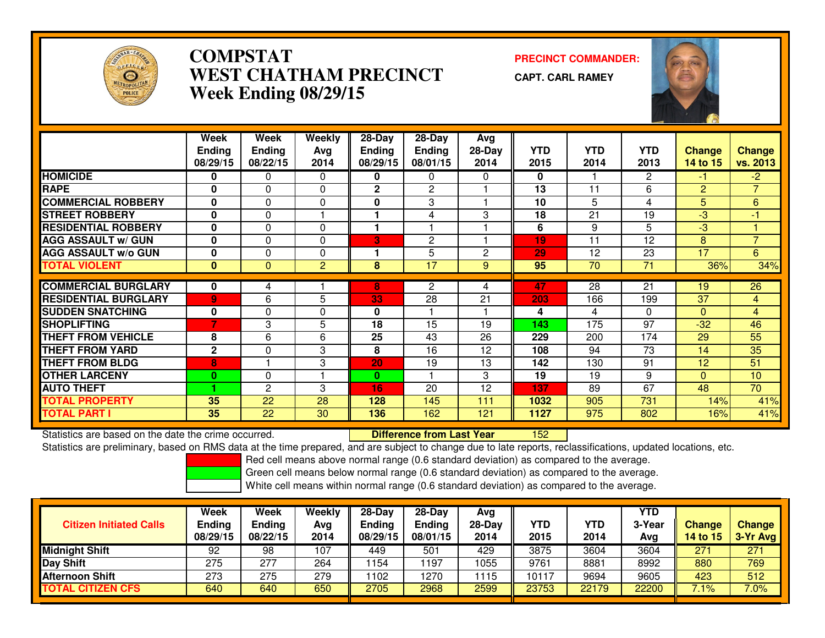

# **COMPSTAT PRECINCT COMMANDER: WEST CHATHAM PRECINCTWeek Ending 08/29/15**

**CAPT. CARL RAMEY**



|                             | Week          | Week          | <b>Weekly</b> | $28 - Day$    | $28 - Day$     | Avg      |            |            |                 |                |                 |
|-----------------------------|---------------|---------------|---------------|---------------|----------------|----------|------------|------------|-----------------|----------------|-----------------|
|                             | <b>Endina</b> | <b>Ending</b> | Avg           | <b>Ending</b> | <b>Ending</b>  | $28-Day$ | <b>YTD</b> | <b>YTD</b> | <b>YTD</b>      | <b>Change</b>  | <b>Change</b>   |
|                             | 08/29/15      | 08/22/15      | 2014          | 08/29/15      | 08/01/15       | 2014     | 2015       | 2014       | 2013            | 14 to 15       | vs. 2013        |
| <b>HOMICIDE</b>             | 0             | 0             | $\Omega$      | 0             | 0              | 0        | 0          |            | $\overline{2}$  | $-1$           | $-2$            |
| <b>RAPE</b>                 | $\bf{0}$      | $\Omega$      | $\Omega$      | $\mathbf{2}$  | $\mathbf{c}$   |          | 13         | 11         | 6               | $\overline{2}$ | $\overline{7}$  |
| <b>COMMERCIAL ROBBERY</b>   | $\bf{0}$      | $\Omega$      | $\Omega$      | 0             | 3              |          | 10         | 5          | 4               | 5              | 6               |
| <b>STREET ROBBERY</b>       | $\bf{0}$      | $\Omega$      |               |               | 4              | 3        | 18         | 21         | 19              | $-3$           | $-1$            |
| <b>RESIDENTIAL ROBBERY</b>  | $\bf{0}$      | $\Omega$      | $\Omega$      | 1             |                |          | 6          | 9          | 5               | $-3$           |                 |
| <b>AGG ASSAULT w/ GUN</b>   | $\bf{0}$      | $\Omega$      | $\Omega$      | 3             | $\overline{2}$ |          | 19         | 11         | 12              | 8              | $\overline{7}$  |
| <b>AGG ASSAULT w/o GUN</b>  | $\bf{0}$      | 0             | $\Omega$      |               | 5              | 2        | 29         | 12         | 23              | 17             | $6\overline{6}$ |
| <b>TOTAL VIOLENT</b>        | $\mathbf{0}$  | $\Omega$      | 2             | 8             | 17             | 9        | 95         | 70         | 71              | 36%            | 34%             |
|                             |               |               |               |               |                |          |            |            |                 |                |                 |
| <b>COMMERCIAL BURGLARY</b>  | $\mathbf{0}$  | 4             |               | 8             | 2              | 4        | 47         | 28         | $\overline{21}$ | 19             | 26              |
| <b>RESIDENTIAL BURGLARY</b> | 9             | 6             | 5             | 33            | 28             | 21       | 203        | 166        | 199             | 37             | $\overline{4}$  |
| <b>SUDDEN SNATCHING</b>     | 0             | 0             | $\mathbf 0$   | 0             |                |          | 4          | 4          | $\Omega$        | $\Omega$       | $\overline{4}$  |
| <b>SHOPLIFTING</b>          | 7             | 3             | 5             | 18            | 15             | 19       | 143        | 175        | 97              | $-32$          | 46              |
| <b>THEFT FROM VEHICLE</b>   | 8             | 6             | 6             | 25            | 43             | 26       | 229        | 200        | 174             | 29             | 55              |
| <b>THEFT FROM YARD</b>      | $\mathbf{2}$  | 0             | 3             | 8             | 16             | 12       | 108        | 94         | 73              | 14             | 35              |
| <b>THEFT FROM BLDG</b>      | 8             |               | 3             | 20            | 19             | 13       | 142        | 130        | 91              | 12             | 51              |
| <b>OTHER LARCENY</b>        | $\mathbf{0}$  | $\mathbf 0$   |               | 0             |                | 3        | 19         | 19         | 9               | $\Omega$       | 10              |
| <b>AUTO THEFT</b>           |               | 2             | 3             | 16            | 20             | 12       | 137        | 89         | 67              | 48             | 70              |
| <b>TOTAL PROPERTY</b>       | 35            | 22            | 28            | 128           | 145            | 111      | 1032       | 905        | 731             | 14%            | 41%             |
| <b>TOTAL PART I</b>         | 35            | 22            | 30            | 136           | 162            | 121      | 1127       | 975        | 802             | 16%            | 41%             |

Statistics are based on the date the crime occurred. **Difference from Last Year**  <sup>152</sup>Statistics are preliminary, based on RMS data at the time prepared, and are subject to change due to late reports, reclassifications, updated locations, etc.

Red cell means above normal range (0.6 standard deviation) as compared to the average.

Green cell means below normal range (0.6 standard deviation) as compared to the average.

| <b>Citizen Initiated Calls</b> | Week<br>Ending<br>08/29/15 | Week<br><b>Ending</b><br>08/22/15 | Weekly<br>Avg<br>2014 | $28-Dav$<br>Ending<br>08/29/15 | $28-Day$<br><b>Ending</b><br>08/01/15 | Avg<br>$28-Day$<br>2014 | YTD<br>2015 | <b>YTD</b><br>2014 | YTD<br>3-Year<br>Avg | <b>Change</b><br>14 to 15 | <b>Change</b><br>3-Yr Avg |
|--------------------------------|----------------------------|-----------------------------------|-----------------------|--------------------------------|---------------------------------------|-------------------------|-------------|--------------------|----------------------|---------------------------|---------------------------|
| <b>Midnight Shift</b>          | 92                         | 98                                | 107                   | 449                            | 501                                   | 429                     | 3875        | 3604               | 3604                 | 271                       | 271                       |
| <b>Day Shift</b>               | 275                        | 277                               | 264                   | 154                            | 197                                   | 1055                    | 9761        | 8881               | 8992                 | 880                       | 769                       |
| <b>Afternoon Shift</b>         | 273                        | 275                               | 279                   | 102                            | 1270                                  | 1115                    | 10117       | 9694               | 9605                 | 423                       | 512                       |
| <b>TOTAL CITIZEN CFS</b>       | 640                        | 640                               | 650                   | 2705                           | 2968                                  | 2599                    | 23753       | 22179              | 22200                | 7.1%                      | 7.0%                      |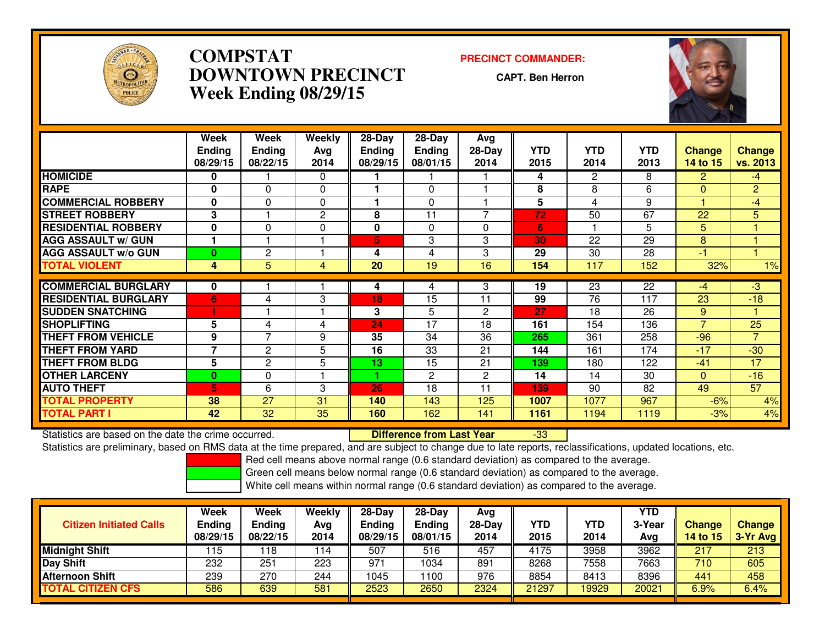

# **COMPSTAT PRECINCT COMMANDER: DOWNTOWN PRECINCTWeek Ending 08/29/15**

**CAPT. Ben Herron**



|                             | Week          | Week           | Weekly         | 28-Day        | 28-Day          | Avg            |            |                       |                 |                          |                |
|-----------------------------|---------------|----------------|----------------|---------------|-----------------|----------------|------------|-----------------------|-----------------|--------------------------|----------------|
|                             | <b>Ending</b> | <b>Ending</b>  | Avg            | <b>Ending</b> | <b>Ending</b>   | $28-Day$       | <b>YTD</b> | <b>YTD</b>            | <b>YTD</b>      | <b>Change</b>            | <b>Change</b>  |
|                             | 08/29/15      | 08/22/15       | 2014           | 08/29/15      | 08/01/15        | 2014           | 2015       | 2014                  | 2013            | 14 to 15                 | vs. 2013       |
| <b>HOMICIDE</b>             | 0             |                | $\Omega$       |               |                 |                | 4          | $\mathbf{2}^{\prime}$ | 8               | $\overline{2}$           | $-4$           |
| <b>RAPE</b>                 | 0             | $\mathbf{0}$   | $\Omega$       |               | $\Omega$        |                | 8          | 8                     | 6               | 0                        | $\overline{2}$ |
| <b>COMMERCIAL ROBBERY</b>   | $\bf{0}$      | $\Omega$       | $\Omega$       |               | $\mathbf{0}$    |                | 5          | 4                     | 9               |                          | $-4$           |
| <b>ISTREET ROBBERY</b>      | 3             |                | 2              | 8             | 11              | 7              | 72         | 50                    | 67              | 22                       | 5              |
| <b>RESIDENTIAL ROBBERY</b>  | $\bf{0}$      | $\mathbf{0}$   | $\Omega$       | 0             | $\Omega$        | 0              | 6          |                       | 5               | 5 <sup>1</sup>           |                |
| <b>AGG ASSAULT w/ GUN</b>   | 1             |                |                | 5             | 3               | 3              | 30         | 22                    | 29              | 8                        |                |
| <b>AGG ASSAULT w/o GUN</b>  | $\bf{0}$      | 2              |                | 4             | 4               | 3              | 29         | 30                    | 28              | -1                       |                |
| <b>TOTAL VIOLENT</b>        | 4             | 5              | $\overline{4}$ | 20            | $\overline{19}$ | 16             | 154        | 117                   | 152             | 32%                      | 1%             |
| <b>COMMERCIAL BURGLARY</b>  | $\bf{0}$      |                |                | 4             | 4               | 3              | 19         | 23                    | 22              | $-4$                     | $-3$           |
|                             |               |                |                |               |                 |                |            |                       |                 |                          |                |
| <b>RESIDENTIAL BURGLARY</b> | 6             | 4              | 3              | 18            | 15              | 11             | 99         | 76                    | 117             | 23                       | $-18$          |
| <b>SUDDEN SNATCHING</b>     |               |                |                | 3             | 5               | $\overline{2}$ | 27         | 18                    | $\overline{26}$ | 9                        |                |
| <b>ISHOPLIFTING</b>         | 5             | 4              | 4              | 24            | 17              | 18             | 161        | 154                   | 136             | $\overline{\phantom{a}}$ | 25             |
| <b>THEFT FROM VEHICLE</b>   | 9             | $\overline{7}$ | 9              | 35            | 34              | 36             | 265        | 361                   | 258             | $-96$                    | $\overline{7}$ |
| <b>THEFT FROM YARD</b>      | 7             | 2              | 5              | 16            | 33              | 21             | 144        | 161                   | 174             | $-17$                    | $-30$          |
| <b>THEFT FROM BLDG</b>      | 5             | $\overline{2}$ | 5              | 13            | 15              | 21             | 139        | 180                   | 122             | $-41$                    | 17             |
| <b>OTHER LARCENY</b>        | $\mathbf{0}$  | $\mathbf{0}$   |                |               | $\mathbf{2}$    | $\overline{2}$ | 14         | 14                    | 30              | $\Omega$                 | $-16$          |
| <b>AUTO THEFT</b>           | 5             | 6              | 3              | 26            | 18              | 11             | 139        | 90                    | 82              | 49                       | 57             |
| <b>TOTAL PROPERTY</b>       | 38            | 27             | 31             | 140           | 143             | 125            | 1007       | 1077                  | 967             | $-6%$                    | 4%             |
| <b>TOTAL PART I</b>         | 42            | 32             | 35             | 160           | 162             | 141            | 1161       | 1194                  | 1119            | $-3%$                    | 4%             |

Statistics are based on the date the crime occurred. **Difference from Last Year**  -33Statistics are preliminary, based on RMS data at the time prepared, and are subject to change due to late reports, reclassifications, updated locations, etc.

Red cell means above normal range (0.6 standard deviation) as compared to the average.

Green cell means below normal range (0.6 standard deviation) as compared to the average.

| <b>Citizen Initiated Calls</b>  | Week<br><b>Ending</b><br>08/29/15 | Week<br><b>Ending</b><br>08/22/15 | Weekly<br>Ava<br>2014 | $28-Dav$<br>Ending<br>08/29/15 | $28-Dav$<br><b>Ending</b><br>08/01/15 | Avg<br>28-Day<br>2014 | <b>YTD</b><br>2015 | <b>YTD</b><br>2014 | YTD<br>3-Year<br>Avg | <b>Change</b><br>14 to 15 | <b>Change</b><br>3-Yr Avg |
|---------------------------------|-----------------------------------|-----------------------------------|-----------------------|--------------------------------|---------------------------------------|-----------------------|--------------------|--------------------|----------------------|---------------------------|---------------------------|
| <b>Midnight Shift</b>           | 115                               | 18                                | 114                   | 507                            | 516                                   | 457                   | 4175               | 3958               | 3962                 | 217                       | 213                       |
| Day Shift                       | 232                               | 251                               | 223                   | 971                            | 1034                                  | 891                   | 8268               | 7558               | 7663                 | 710                       | 605                       |
| <b>Afternoon Shift</b>          | 239                               | 270                               | 244                   | 1045                           | 100                                   | 976                   | 8854               | 8413               | 8396                 | 441                       | 458                       |
| <b><i>FOTAL CITIZEN CFS</i></b> | 586                               | 639                               | 581                   | 2523                           | 2650                                  | 2324                  | 21297              | 19929              | 20021                | $6.9\%$                   | 6.4%                      |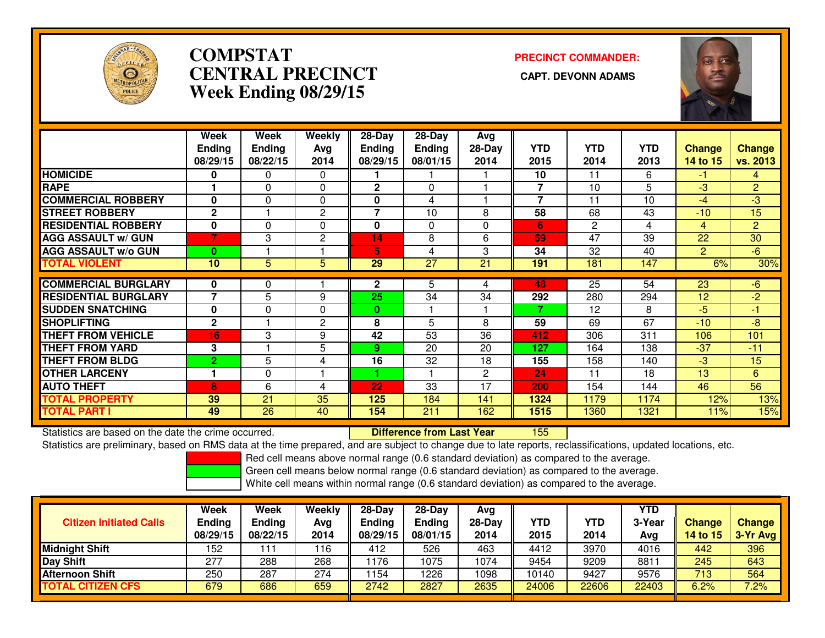

# **COMPSTATCENTRAL PRECINCT Week Ending 08/29/15**

**PRECINCT COMMANDER:**



|                             | Week                     | Week          | Weekly       | 28-Day        | 28-Day        | Avg          |                |                |            |                |                |
|-----------------------------|--------------------------|---------------|--------------|---------------|---------------|--------------|----------------|----------------|------------|----------------|----------------|
|                             | <b>Ending</b>            | <b>Ending</b> | Ava          | <b>Ending</b> | <b>Ending</b> | $28-Day$     | <b>YTD</b>     | <b>YTD</b>     | <b>YTD</b> | <b>Change</b>  | <b>Change</b>  |
|                             | 08/29/15                 | 08/22/15      | 2014         | 08/29/15      | 08/01/15      | 2014         | 2015           | 2014           | 2013       | 14 to 15       | vs. 2013       |
| <b>HOMICIDE</b>             | $\bf{0}$                 | 0             | $\Omega$     |               |               |              | 10             | 11             | 6          | $-1$           | 4              |
| <b>RAPE</b>                 |                          | 0             | 0            | $\mathbf{2}$  | 0             |              | 7              | 10             | 5          | $-3$           | $\overline{2}$ |
| <b>COMMERCIAL ROBBERY</b>   | $\bf{0}$                 | $\Omega$      | 0            | 0             | 4             |              | $\overline{7}$ | 11             | 10         | -4             | -3             |
| <b>STREET ROBBERY</b>       | $\mathbf{2}$             |               | 2            | 7             | 10            | 8            | 58             | 68             | 43         | $-10$          | 15             |
| <b>RESIDENTIAL ROBBERY</b>  | $\mathbf 0$              | $\Omega$      | $\Omega$     | $\mathbf{0}$  | $\mathbf{0}$  | 0            | 6              | $\overline{2}$ | 4          | $\overline{4}$ | $\overline{2}$ |
| <b>AGG ASSAULT w/ GUN</b>   | 7                        | 3             | $\mathbf{2}$ | 14            | 8             | 6            | 69             | 47             | 39         | 22             | 30             |
| <b>AGG ASSAULT w/o GUN</b>  | $\bf{0}$                 |               |              | 5             | 4             | 3            | 34             | 32             | 40         | $\overline{2}$ | $-6$           |
| <b>TOTAL VIOLENT</b>        | 10                       | 5             | 5            | 29            | 27            | 21           | 191            | 181            | 147        | 6%             | 30%            |
|                             |                          |               |              |               |               |              |                |                |            |                |                |
| <b>COMMERCIAL BURGLARY</b>  | 0                        | 0             |              | $\mathbf{2}$  | 5             | 4            | 48             | 25             | 54         | 23             | $-6$           |
| <b>RESIDENTIAL BURGLARY</b> | $\overline{\phantom{a}}$ | 5             | 9            | 25            | 34            | 34           | 292            | 280            | 294        | 12             | $-2$           |
| <b>SUDDEN SNATCHING</b>     | $\bf{0}$                 | 0             | $\Omega$     | 0             |               |              | 7              | 12             | 8          | $-5$           | $-1$           |
| <b>ISHOPLIFTING</b>         | $\mathbf{2}$             |               | $\mathbf{2}$ | 8             | 5             | 8            | 59             | 69             | 67         | $-10$          | -8             |
| <b>THEFT FROM VEHICLE</b>   | 16                       | 3             | 9            | 42            | 53            | 36           | 412            | 306            | 311        | 106            | 101            |
| <b>THEFT FROM YARD</b>      | 3                        |               | 5            | 9.            | 20            | 20           | 127            | 164            | 138        | $-37$          | $-11$          |
| <b>THEFT FROM BLDG</b>      | $\overline{2}$           | 5             | 4            | 16            | 32            | 18           | 155            | 158            | 140        | $-3$           | 15             |
| <b>OTHER LARCENY</b>        |                          | 0             |              |               |               | $\mathbf{2}$ | 24             | 11             | 18         | 13             | 6              |
| <b>AUTO THEFT</b>           | 8                        | 6             | 4            | 22            | 33            | 17           | 200            | 154            | 144        | 46             | 56             |
| <b>TOTAL PROPERTY</b>       | 39                       | 21            | 35           | 125           | 184           | 141          | 1324           | 1179           | 1174       | 12%            | 13%            |
| <b>TOTAL PART I</b>         | 49                       | 26            | 40           | 154           | 211           | 162          | 1515           | 1360           | 1321       | 11%            | 15%            |

Statistics are based on the date the crime occurred. **Difference from Last Year** 

Statistics are based on the date the crime occurred.<br>Statistics are preliminary, based on RMS data at the time prepared, and are subject to change due to late reports, reclassifications, updated locations, etc.

Red cell means above normal range (0.6 standard deviation) as compared to the average.

Green cell means below normal range (0.6 standard deviation) as compared to the average.

| <b>Citizen Initiated Calls</b> | Week<br><b>Ending</b><br>08/29/15 | Week<br><b>Ending</b><br>08/22/15 | Weekly<br>Avg<br>2014 | 28-Day<br><b>Ending</b><br>08/29/15 | $28-Dav$<br>Ending<br>08/01/15 | Ava<br>$28-Day$<br>2014 | <b>YTD</b><br>2015 | YTD<br>2014 | YTD<br>3-Year<br>Avg | <b>Change</b><br>14 to $15$ | <b>Change</b><br>3-Yr Avg |
|--------------------------------|-----------------------------------|-----------------------------------|-----------------------|-------------------------------------|--------------------------------|-------------------------|--------------------|-------------|----------------------|-----------------------------|---------------------------|
| Midnight Shift                 | 152                               | 111                               | 116                   | 412                                 | 526                            | 463                     | 4412               | 3970        | 4016                 | 442                         | 396                       |
| Day Shift                      | 277                               | 288                               | 268                   | 176                                 | 075                            | 1074                    | 9454               | 9209        | 881                  | 245                         | 643                       |
| Afternoon Shift                | 250                               | 287                               | 274                   | 154                                 | 226                            | 1098                    | 10140              | 9427        | 9576                 | 713                         | 564                       |
| <b>TOTAL CITIZEN CFS</b>       | 679                               | 686                               | 659                   | 2742                                | 2827                           | 2635                    | 24006              | 22606       | 22403                | 6.2%                        | 7.2%                      |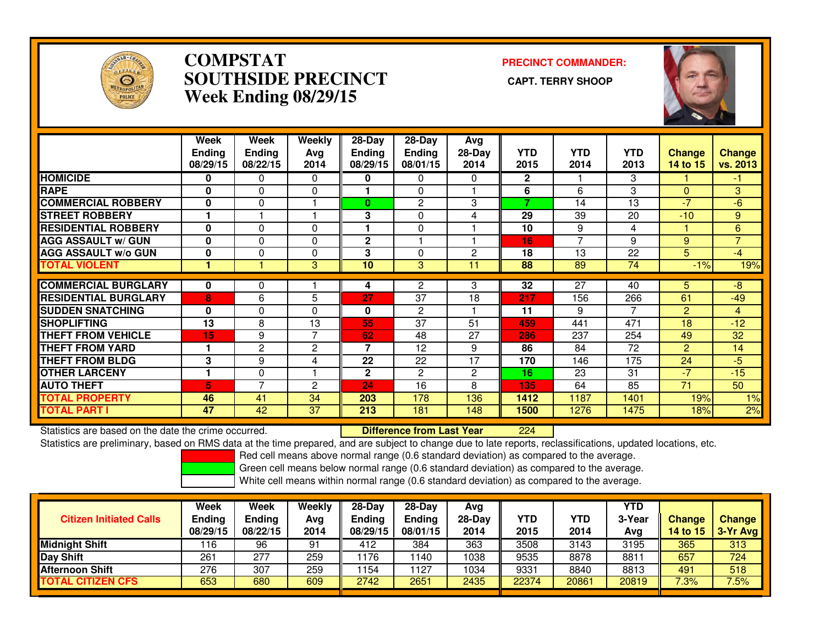

### **COMPSTAT PRECINCT COMMANDER: SOUTHSIDE PRECINCT CAPT. TERRY SHOOPWeek Ending 08/29/15**



|                             | Week<br><b>Ending</b><br>08/29/15 | Week<br><b>Ending</b><br>08/22/15 | Weekly<br>Avg<br>2014 | $28$ -Day<br><b>Ending</b><br>08/29/15 | $28-Day$<br><b>Ending</b><br>08/01/15 | Avg<br>28-Day<br>2014 | <b>YTD</b><br>2015       | <b>YTD</b><br>2014       | <b>YTD</b><br>2013 | <b>Change</b><br>14 to 15 | Change<br>vs. 2013 |
|-----------------------------|-----------------------------------|-----------------------------------|-----------------------|----------------------------------------|---------------------------------------|-----------------------|--------------------------|--------------------------|--------------------|---------------------------|--------------------|
| <b>HOMICIDE</b>             | 0                                 | 0                                 | $\Omega$              | 0                                      | 0                                     | 0                     | $\overline{2}$           |                          | 3                  |                           | $-1$               |
| <b>RAPE</b>                 | $\bf{0}$                          | $\Omega$                          | $\Omega$              |                                        | $\Omega$                              |                       | 6                        | 6                        | 3                  | 0                         | 3                  |
| <b>ICOMMERCIAL ROBBERY</b>  | 0                                 | $\Omega$                          |                       | $\bf{0}$                               | 2                                     | 3                     | $\overline{\phantom{a}}$ | 14                       | 13                 | $\sqrt{7}$                | $-6$               |
| <b>ISTREET ROBBERY</b>      |                                   |                                   |                       | 3                                      | 0                                     | 4                     | 29                       | 39                       | 20                 | $-10$                     | 9                  |
| <b>RESIDENTIAL ROBBERY</b>  | $\bf{0}$                          | $\Omega$                          | $\Omega$              |                                        | 0                                     |                       | 10                       | 9                        | 4                  |                           | 6                  |
| <b>AGG ASSAULT w/ GUN</b>   | 0                                 | 0                                 | $\Omega$              | $\mathbf 2$                            |                                       |                       | 16                       | $\overline{\phantom{a}}$ | 9                  | 9                         | $\overline{7}$     |
| <b>AGG ASSAULT w/o GUN</b>  | $\bf{0}$                          | $\Omega$                          | $\Omega$              | 3                                      | 0                                     | 2                     | 18                       | 13                       | 22                 | 5                         | $-47$              |
| <b>TOTAL VIOLENT</b>        |                                   |                                   | 3                     | 10                                     | 3                                     | 11                    | 88                       | 89                       | 74                 | $-1%$                     | 19%                |
| <b>COMMERCIAL BURGLARY</b>  | 0                                 | 0                                 |                       |                                        |                                       | 3                     | 32                       | 27                       | 40                 | 5.                        | -8                 |
|                             |                                   |                                   |                       | 4                                      | 2                                     |                       |                          |                          |                    |                           |                    |
| <b>RESIDENTIAL BURGLARY</b> | 8                                 | 6                                 | 5                     | 27                                     | 37                                    | 18                    | 217                      | 156                      | 266                | 61                        | $-49$              |
| <b>SUDDEN SNATCHING</b>     | 0                                 | 0                                 | $\Omega$              | 0                                      | $\overline{2}$                        |                       | 11                       | 9                        | 7                  | $\overline{2}$            | 4                  |
| <b>SHOPLIFTING</b>          | 13                                | 8                                 | 13                    | 55                                     | 37                                    | 51                    | 459                      | 441                      | 471                | 18                        | $-12$              |
| <b>THEFT FROM VEHICLE</b>   | 15                                | 9                                 | 7                     | 62                                     | 48                                    | 27                    | 286                      | 237                      | 254                | 49                        | 32                 |
| <b>THEFT FROM YARD</b>      |                                   | $\overline{2}$                    | 2                     | $\overline{7}$                         | 12                                    | 9                     | 86                       | 84                       | 72                 | $\overline{2}$            | 14                 |
| <b>THEFT FROM BLDG</b>      | 3                                 | 9                                 | 4                     | 22                                     | 22                                    | 17                    | 170                      | 146                      | 175                | 24                        | $-5$               |
| <b>OTHER LARCENY</b>        |                                   | $\Omega$                          |                       | $\mathbf{2}$                           | $\overline{2}$                        | $\overline{2}$        | 16                       | 23                       | 31                 | $-7$                      | $-15$              |
| <b>AUTO THEFT</b>           | 5                                 | $\overline{ }$                    | $\overline{2}$        | 24                                     | 16                                    | 8                     | 135                      | 64                       | 85                 | 71                        | 50                 |
| <b>TOTAL PROPERTY</b>       | 46                                | 41                                | 34                    | 203                                    | 178                                   | 136                   | 1412                     | 1187                     | 1401               | 19%                       | 1%                 |
| <b>TOTAL PART I</b>         | 47                                | 42                                | 37                    | 213                                    | 181                                   | 148                   | 1500                     | 1276                     | 1475               | 18%                       | 2%                 |

Statistics are based on the date the crime occurred. **Difference from Last Year** 

<sup>224</sup>

Statistics are preliminary, based on RMS data at the time prepared, and are subject to change due to late reports, reclassifications, updated locations, etc.

Red cell means above normal range (0.6 standard deviation) as compared to the average.

Green cell means below normal range (0.6 standard deviation) as compared to the average.

| <b>Citizen Initiated Calls</b> | Week<br><b>Ending</b><br>08/29/15 | Week<br>Ending<br>08/22/15 | Weekly<br>Avg<br>2014 | $28-Dav$<br>Endina<br>08/29/15 | $28-Dav$<br><b>Ending</b><br>08/01/15 | Ava<br>28-Dav<br>2014 | YTD<br>2015 | YTD<br>2014 | YTD<br>3-Year<br>Ava | <b>Change</b><br><b>14 to 15</b> | <b>Change</b><br>3-Yr Avg |
|--------------------------------|-----------------------------------|----------------------------|-----------------------|--------------------------------|---------------------------------------|-----------------------|-------------|-------------|----------------------|----------------------------------|---------------------------|
| <b>Midnight Shift</b>          | 16                                | 96                         | 91                    | 412                            | 384                                   | 363                   | 3508        | 3143        | 3195                 | 365                              | 313                       |
| Day Shift                      | 261                               | 277                        | 259                   | 1176                           | 140                                   | 1038                  | 9535        | 8878        | 8811                 | 657                              | 724                       |
| <b>Afternoon Shift</b>         | 276                               | 307                        | 259                   | 1154                           | 127                                   | 1034                  | 9331        | 8840        | 8813                 | 491                              | 518                       |
| <b>TOTAL CITIZEN CFS</b>       | 653                               | 680                        | 609                   | 2742                           | 2651                                  | 2435                  | 22374       | 20861       | 20819                | 7.3%                             | 7.5%                      |